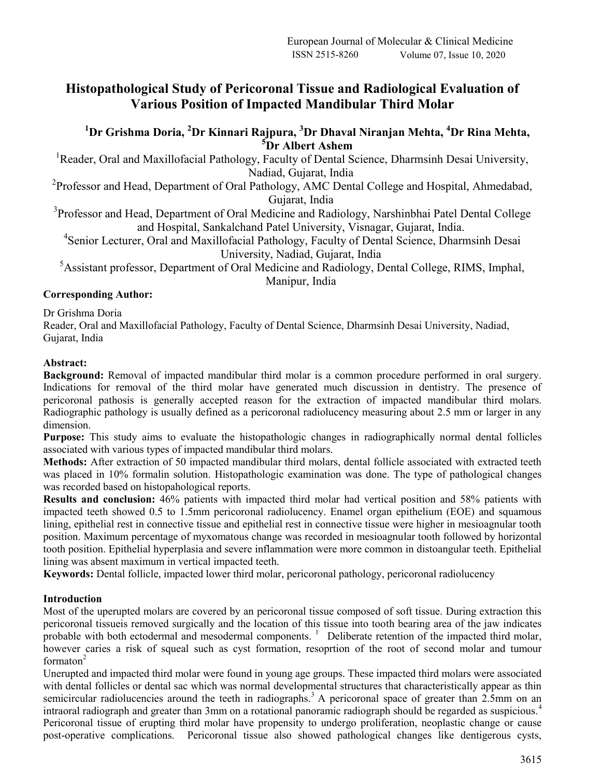## **Histopathological Study of Pericoronal Tissue and Radiological Evaluation of Various Position of Impacted Mandibular Third Molar**

### **<sup>1</sup>Dr Grishma Doria, <sup>2</sup>Dr Kinnari Rajpura, <sup>3</sup>Dr Dhaval Niranjan Mehta, <sup>4</sup>Dr Rina Mehta, <sup>5</sup>Dr Albert Ashem**

<sup>1</sup> Reader, Oral and Maxillofacial Pathology, Faculty of Dental Science, Dharmsinh Desai University, Nadiad, Gujarat, India

<sup>2</sup> Professor and Head, Department of Oral Pathology, AMC Dental College and Hospital, Ahmedabad, Gujarat, India

<sup>3</sup>Professor and Head, Department of Oral Medicine and Radiology, Narshinbhai Patel Dental College and Hospital, Sankalchand Patel University, Visnagar, Gujarat, India.

4 Senior Lecturer, Oral and Maxillofacial Pathology, Faculty of Dental Science, Dharmsinh Desai University, Nadiad, Gujarat, India

<sup>5</sup>Assistant professor, Department of Oral Medicine and Radiology, Dental College, RIMS, Imphal, Manipur, India

#### **Corresponding Author:**

Dr Grishma Doria

Reader, Oral and Maxillofacial Pathology, Faculty of Dental Science, Dharmsinh Desai University, Nadiad, Gujarat, India

#### **Abstract:**

**Background:** Removal of impacted mandibular third molar is a common procedure performed in oral surgery. Indications for removal of the third molar have generated much discussion in dentistry. The presence of pericoronal pathosis is generally accepted reason for the extraction of impacted mandibular third molars. Radiographic pathology is usually defined as a pericoronal radiolucency measuring about 2.5 mm or larger in any dimension.

**Purpose:** This study aims to evaluate the histopathologic changes in radiographically normal dental follicles associated with various types of impacted mandibular third molars.

**Methods:** After extraction of 50 impacted mandibular third molars, dental follicle associated with extracted teeth was placed in 10% formalin solution. Histopathologic examination was done. The type of pathological changes was recorded based on histopahological reports.

**Results and conclusion:** 46% patients with impacted third molar had vertical position and 58% patients with impacted teeth showed 0.5 to 1.5mm pericoronal radiolucency. Enamel organ epithelium (EOE) and squamous lining, epithelial rest in connective tissue and epithelial rest in connective tissue were higher in mesioagnular tooth position. Maximum percentage of myxomatous change was recorded in mesioagnular tooth followed by horizontal tooth position. Epithelial hyperplasia and severe inflammation were more common in distoangular teeth. Epithelial lining was absent maximum in vertical impacted teeth.

**Keywords:** Dental follicle, impacted lower third molar, pericoronal pathology, pericoronal radiolucency

#### **Introduction**

Most of the uperupted molars are covered by an pericoronal tissue composed of soft tissue. During extraction this pericoronal tissueis removed surgically and the location of this tissue into tooth bearing area of the jaw indicates probable with both ectodermal and mesodermal components.<sup>1</sup> Deliberate retention of the impacted third molar, however caries a risk of squeal such as cyst formation, resoprtion of the root of second molar and tumour formaton $2$ 

Unerupted and impacted third molar were found in young age groups. These impacted third molars were associated with dental follicles or dental sac which was normal developmental structures that characteristically appear as thin semicircular radiolucencies around the teeth in radiographs.<sup>3</sup> A pericoronal space of greater than 2.5mm on an intraoral radiograph and greater than 3mm on a rotational panoramic radiograph should be regarded as suspicious.<sup>4</sup> Pericoronal tissue of erupting third molar have propensity to undergo proliferation, neoplastic change or cause post-operative complications. Pericoronal tissue also showed pathological changes like dentigerous cysts,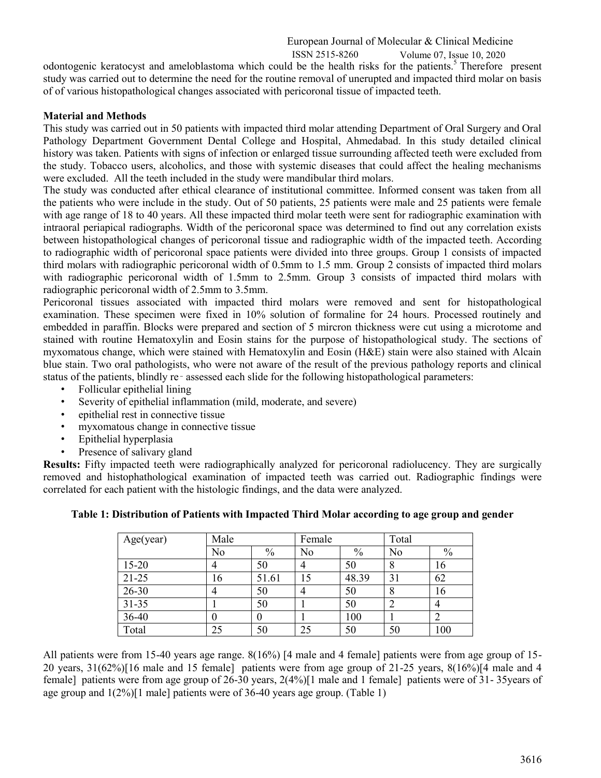#### European Journal of Molecular & Clinical Medicine ISSN 2515-8260 Volume 07, Issue 10, 2020

odontogenic keratocyst and ameloblastoma which could be the health risks for the patients.<sup>5</sup> Therefore present study was carried out to determine the need for the routine removal of unerupted and impacted third molar on basis of of various histopathological changes associated with pericoronal tissue of impacted teeth.

#### **Material and Methods**

This study was carried out in 50 patients with impacted third molar attending Department of Oral Surgery and Oral Pathology Department Government Dental College and Hospital, Ahmedabad. In this study detailed clinical history was taken. Patients with signs of infection or enlarged tissue surrounding affected teeth were excluded from the study. Tobacco users, alcoholics, and those with systemic diseases that could affect the healing mechanisms were excluded. All the teeth included in the study were mandibular third molars.

The study was conducted after ethical clearance of institutional committee. Informed consent was taken from all the patients who were include in the study. Out of 50 patients, 25 patients were male and 25 patients were female with age range of 18 to 40 years. All these impacted third molar teeth were sent for radiographic examination with intraoral periapical radiographs. Width of the pericoronal space was determined to find out any correlation exists between histopathological changes of pericoronal tissue and radiographic width of the impacted teeth. According to radiographic width of pericoronal space patients were divided into three groups. Group 1 consists of impacted third molars with radiographic pericoronal width of 0.5mm to 1.5 mm. Group 2 consists of impacted third molars with radiographic pericoronal width of 1.5mm to 2.5mm. Group 3 consists of impacted third molars with radiographic pericoronal width of 2.5mm to 3.5mm.

Pericoronal tissues associated with impacted third molars were removed and sent for histopathological examination. These specimen were fixed in 10% solution of formaline for 24 hours. Processed routinely and embedded in paraffin. Blocks were prepared and section of 5 mircron thickness were cut using a microtome and stained with routine Hematoxylin and Eosin stains for the purpose of histopathological study. The sections of myxomatous change, which were stained with Hematoxylin and Eosin (H&E) stain were also stained with Alcain blue stain. Two oral pathologists, who were not aware of the result of the previous pathology reports and clinical status of the patients, blindly re‑ assessed each slide for the following histopathological parameters:

- Follicular epithelial lining
- Severity of epithelial inflammation (mild, moderate, and severe)
- epithelial rest in connective tissue
- myxomatous change in connective tissue
- Epithelial hyperplasia
- Presence of salivary gland

**Results:** Fifty impacted teeth were radiographically analyzed for pericoronal radiolucency. They are surgically removed and histophathological examination of impacted teeth was carried out. Radiographic findings were correlated for each patient with the histologic findings, and the data were analyzed.

# **Table 1: Distribution of Patients with Impacted Third Molar according to age group and gender**

| Age(year) | Male |               | Female |       | Total          |               |
|-----------|------|---------------|--------|-------|----------------|---------------|
|           | No   | $\frac{0}{0}$ | No     | $\%$  | N <sub>o</sub> | $\frac{0}{0}$ |
| $15 - 20$ |      | 50            | 4      | 50    | 8              | 16            |
| $21-25$   | 16   | 51.61         | 15     | 48.39 | 31             | 62            |
| $26 - 30$ |      | 50            |        | 50    | 8              | 16            |
| $31 - 35$ |      | 50            |        | 50    |                |               |
| 36-40     |      | 0             |        | 100   |                |               |
| Total     | 25   | 50            | 25     | 50    | 50             | 100           |

All patients were from 15-40 years age range. 8(16%) [4 male and 4 female] patients were from age group of 15- 20 years,  $31(62%)$ [16 male and 15 female] patients were from age group of 21-25 years,  $8(16%)$ [4 male and 4 female] patients were from age group of 26-30 years, 2(4%)[1 male and 1 female] patients were of 31- 35years of age group and 1(2%)[1 male] patients were of 36-40 years age group. (Table 1)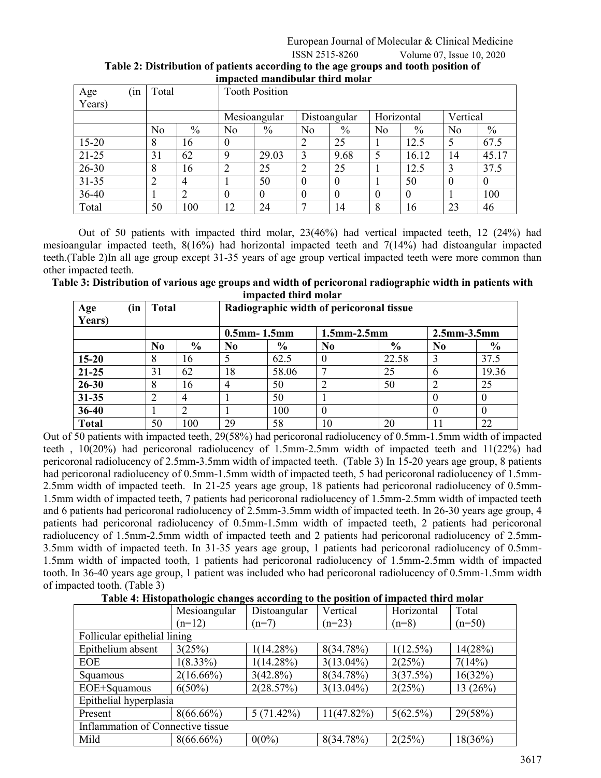| Age<br>Years) | 1n | Total          |                |                | <b>Tooth Position</b> |              |                  |                |          |                |          |
|---------------|----|----------------|----------------|----------------|-----------------------|--------------|------------------|----------------|----------|----------------|----------|
|               |    |                |                | Mesioangular   |                       | Distoangular |                  | Horizontal     |          | Vertical       |          |
|               |    | N <sub>o</sub> | $\%$           | No             | $\%$                  | No           | $\%$             | N <sub>o</sub> | $\%$     | N <sub>0</sub> | $\%$     |
| $15 - 20$     |    | 8              | 16             | $\theta$       |                       | ◠            | 25               |                | 12.5     | 5              | 67.5     |
| $21 - 25$     |    | 31             | 62             | 9              | 29.03                 | 3            | 9.68             | 5              | 16.12    | 14             | 45.17    |
| $26 - 30$     |    | 8              | 16             | $\overline{2}$ | 25                    | ↑            | 25               |                | 12.5     | 3              | 37.5     |
| $31 - 35$     |    | ◠<br>∠         | $\overline{4}$ |                | 50                    | $\theta$     | $\theta$         |                | 50       | $\theta$       | $\theta$ |
| 36-40         |    |                | $\overline{2}$ | $\theta$       | $\theta$              | $\theta$     | $\boldsymbol{0}$ | 0              | $\theta$ |                | 100      |
| Total         |    | 50             | 100            | 12             | 24                    |              | 14               | 8              | 16       | 23             | 46       |

| .<br>Table 2: Distribution of patients according to the age groups and tooth position of |  |
|------------------------------------------------------------------------------------------|--|
| impacted mandibular third molar                                                          |  |

Out of 50 patients with impacted third molar, 23(46%) had vertical impacted teeth, 12 (24%) had mesioangular impacted teeth, 8(16%) had horizontal impacted teeth and 7(14%) had distoangular impacted teeth.(Table 2)In all age group except 31-35 years of age group vertical impacted teeth were more common than other impacted teeth.

**Table 3: Distribution of various age groups and width of pericoronal radiographic width in patients with impacted third molar**

| Age<br>Years) | (in | Radiographic width of pericoronal tissue<br>Total |                |                    |               |                    |               |                    |               |
|---------------|-----|---------------------------------------------------|----------------|--------------------|---------------|--------------------|---------------|--------------------|---------------|
|               |     |                                                   |                | $0.5$ mm- $1.5$ mm |               | $1.5$ mm $-2.5$ mm |               | $2.5$ mm $-3.5$ mm |               |
|               |     | N <sub>0</sub>                                    | $\frac{6}{6}$  | N <sub>0</sub>     | $\frac{0}{0}$ | N <sub>0</sub>     | $\frac{6}{9}$ | No                 | $\frac{6}{6}$ |
| $15 - 20$     |     |                                                   | 16             |                    | 62.5          |                    | 22.58         |                    | 37.5          |
| $21 - 25$     |     | 31                                                | 62             | 18                 | 58.06         |                    | 25            | h                  | 19.36         |
| $26 - 30$     |     | 8                                                 | 16             |                    | 50            |                    | 50            |                    | 25            |
| $31 - 35$     |     |                                                   | $\overline{4}$ |                    | 50            |                    |               |                    |               |
| 36-40         |     |                                                   |                |                    | 100           | 0                  |               |                    |               |
| <b>Total</b>  |     | 50                                                | 100            | 29                 | 58            | 10                 | 20            |                    | 22            |

Out of 50 patients with impacted teeth, 29(58%) had pericoronal radiolucency of 0.5mm-1.5mm width of impacted teeth , 10(20%) had pericoronal radiolucency of 1.5mm-2.5mm width of impacted teeth and 11(22%) had pericoronal radiolucency of 2.5mm-3.5mm width of impacted teeth. (Table 3) In 15-20 years age group, 8 patients had pericoronal radiolucency of 0.5mm-1.5mm width of impacted teeth, 5 had pericoronal radiolucency of 1.5mm-2.5mm width of impacted teeth. In 21-25 years age group, 18 patients had pericoronal radiolucency of 0.5mm-1.5mm width of impacted teeth, 7 patients had pericoronal radiolucency of 1.5mm-2.5mm width of impacted teeth and 6 patients had pericoronal radiolucency of 2.5mm-3.5mm width of impacted teeth. In 26-30 years age group, 4 patients had pericoronal radiolucency of 0.5mm-1.5mm width of impacted teeth, 2 patients had pericoronal radiolucency of 1.5mm-2.5mm width of impacted teeth and 2 patients had pericoronal radiolucency of 2.5mm-3.5mm width of impacted teeth. In 31-35 years age group, 1 patients had pericoronal radiolucency of 0.5mm-1.5mm width of impacted tooth, 1 patients had pericoronal radiolucency of 1.5mm-2.5mm width of impacted tooth. In 36-40 years age group, 1 patient was included who had pericoronal radiolucency of 0.5mm-1.5mm width of impacted tooth. (Table 3)

**Table 4: Histopathologic changes according to the position of impacted third molar**

|                                   | Mesioangular | Distoangular | Vertical      | Horizontal  | Total    |  |  |  |
|-----------------------------------|--------------|--------------|---------------|-------------|----------|--|--|--|
|                                   | $(n=12)$     | $(n=7)$      | $(n=23)$      | $(n=8)$     | $(n=50)$ |  |  |  |
| Follicular epithelial lining      |              |              |               |             |          |  |  |  |
| Epithelium absent                 | 3(25%)       | $1(14.28\%)$ | 8(34.78%)     | $1(12.5\%)$ | 14(28%)  |  |  |  |
| <b>EOE</b>                        | $1(8.33\%)$  | $1(14.28\%)$ | $3(13.04\%)$  | 2(25%)      | 7(14%)   |  |  |  |
| Squamous                          | $2(16.66\%)$ | $3(42.8\%)$  | 8(34.78%)     | 3(37.5%)    | 16(32%)  |  |  |  |
| EOE+Squamous                      | $6(50\%)$    | 2(28.57%)    | $3(13.04\%)$  | 2(25%)      | 13(26%)  |  |  |  |
| Epithelial hyperplasia            |              |              |               |             |          |  |  |  |
| Present                           | $8(66.66\%)$ | 5(71.42%)    | $11(47.82\%)$ | $5(62.5\%)$ | 29(58%)  |  |  |  |
| Inflammation of Connective tissue |              |              |               |             |          |  |  |  |
| Mild                              | $8(66.66\%)$ | $0(0\%)$     | 8(34.78%)     | 2(25%)      | 18(36%)  |  |  |  |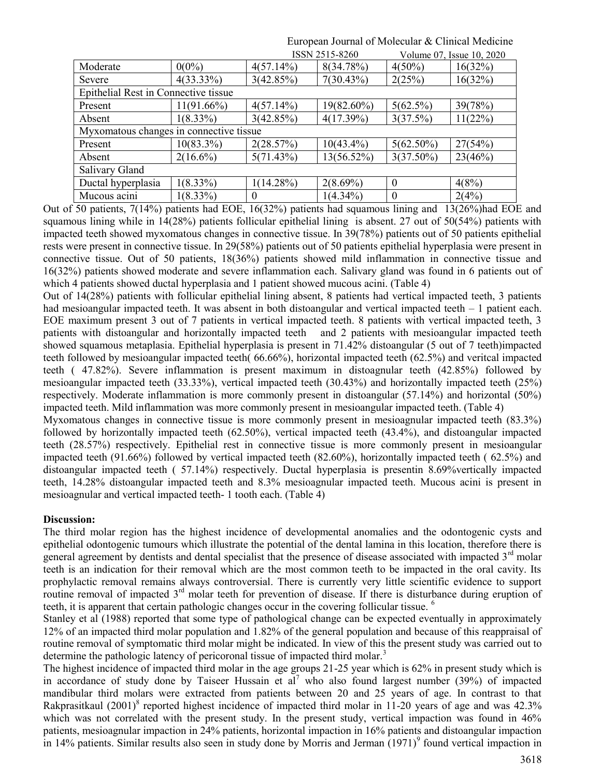|                                             |               |              | ISSN 2515-8260 | Volume 07, Issue 10, 2020 |         |  |  |  |  |
|---------------------------------------------|---------------|--------------|----------------|---------------------------|---------|--|--|--|--|
| Moderate                                    | $0(0\%)$      | $4(57.14\%)$ | 8(34.78%)      | $4(50\%)$                 | 16(32%) |  |  |  |  |
| Severe                                      | $4(33.33\%)$  | 3(42.85%)    | 7(30.43%)      | 2(25%)                    | 16(32%) |  |  |  |  |
| <b>Epithelial Rest in Connective tissue</b> |               |              |                |                           |         |  |  |  |  |
| Present                                     | $11(91.66\%)$ | $4(57.14\%)$ | 19(82.60%)     | $5(62.5\%)$               | 39(78%) |  |  |  |  |
| Absent                                      | $1(8.33\%)$   | 3(42.85%)    | 4(17.39%)      | 3(37.5%)                  | 11(22%) |  |  |  |  |
| Myxomatous changes in connective tissue     |               |              |                |                           |         |  |  |  |  |
| Present                                     | $10(83.3\%)$  | 2(28.57%)    | $10(43.4\%)$   | $5(62.50\%)$              | 27(54%) |  |  |  |  |
| Absent                                      | $2(16.6\%)$   | 5(71.43%)    | $13(56.52\%)$  | $3(37.50\%)$              | 23(46%) |  |  |  |  |
| Salivary Gland                              |               |              |                |                           |         |  |  |  |  |
| Ductal hyperplasia                          | $1(8.33\%)$   | $1(14.28\%)$ | $2(8.69\%)$    | $\theta$                  | 4(8%)   |  |  |  |  |
| Mucous acini                                | $1(8.33\%)$   | $\theta$     | $1(4.34\%)$    | $\theta$                  | 2(4%)   |  |  |  |  |

European Journal of Molecular & Clinical Medicine

Out of 50 patients, 7(14%) patients had EOE, 16(32%) patients had squamous lining and 13(26%)had EOE and squamous lining while in 14(28%) patients follicular epithelial lining is absent. 27 out of 50(54%) patients with impacted teeth showed myxomatous changes in connective tissue. In 39(78%) patients out of 50 patients epithelial rests were present in connective tissue. In 29(58%) patients out of 50 patients epithelial hyperplasia were present in connective tissue. Out of 50 patients, 18(36%) patients showed mild inflammation in connective tissue and 16(32%) patients showed moderate and severe inflammation each. Salivary gland was found in 6 patients out of which 4 patients showed ductal hyperplasia and 1 patient showed mucous acini. (Table 4)

Out of 14(28%) patients with follicular epithelial lining absent, 8 patients had vertical impacted teeth, 3 patients had mesioangular impacted teeth. It was absent in both distoangular and vertical impacted teeth – 1 patient each. EOE maximum present 3 out of 7 patients in vertical impacted teeth. 8 patients with vertical impacted teeth, 3 patients with distoangular and horizontally impacted teeth and 2 patients with mesioangular impacted teeth showed squamous metaplasia. Epithelial hyperplasia is present in 71.42% distoangular (5 out of 7 teeth)impacted teeth followed by mesioangular impacted teeth( 66.66%), horizontal impacted teeth (62.5%) and veritcal impacted teeth ( 47.82%). Severe inflammation is present maximum in distoagnular teeth (42.85%) followed by mesioangular impacted teeth (33.33%), vertical impacted teeth (30.43%) and horizontally impacted teeth (25%) respectively. Moderate inflammation is more commonly present in distoangular (57.14%) and horizontal (50%) impacted teeth. Mild inflammation was more commonly present in mesioangular impacted teeth. (Table 4)

Myxomatous changes in connective tissue is more commonly present in mesioagnular impacted teeth (83.3%) followed by horizontally impacted teeth (62.50%), vertical impacted teeth (43.4%), and distoangular impacted teeth (28.57%) respectively. Epithelial rest in connective tissue is more commonly present in mesioangular impacted teeth (91.66%) followed by vertical impacted teeth (82.60%), horizontally impacted teeth ( 62.5%) and distoangular impacted teeth ( 57.14%) respectively. Ductal hyperplasia is presentin 8.69%vertically impacted teeth, 14.28% distoangular impacted teeth and 8.3% mesioagnular impacted teeth. Mucous acini is present in mesioagnular and vertical impacted teeth- 1 tooth each. (Table 4)

#### **Discussion:**

The third molar region has the highest incidence of developmental anomalies and the odontogenic cysts and epithelial odontogenic tumours which illustrate the potential of the dental lamina in this location, therefore there is general agreement by dentists and dental specialist that the presence of disease associated with impacted  $3<sup>rd</sup>$  molar teeth is an indication for their removal which are the most common teeth to be impacted in the oral cavity. Its prophylactic removal remains always controversial. There is currently very little scientific evidence to support routine removal of impacted 3<sup>rd</sup> molar teeth for prevention of disease. If there is disturbance during eruption of teeth, it is apparent that certain pathologic changes occur in the covering follicular tissue. <sup>6</sup>

Stanley et al (1988) reported that some type of pathological change can be expected eventually in approximately 12% of an impacted third molar population and 1.82% of the general population and because of this reappraisal of routine removal of symptomatic third molar might be indicated. In view of this the present study was carried out to determine the pathologic latency of pericoronal tissue of impacted third molar.<sup>3</sup>

The highest incidence of impacted third molar in the age groups 21-25 year which is 62% in present study which is in accordance of study done by Taiseer Hussain et al<sup>7</sup> who also found largest number (39%) of impacted mandibular third molars were extracted from patients between 20 and 25 years of age. In contrast to that Rakprasitkaul  $(2001)^8$  reported highest incidence of impacted third molar in 11-20 years of age and was 42.3% which was not correlated with the present study. In the present study, vertical impaction was found in 46% patients, mesioagnular impaction in 24% patients, horizontal impaction in 16% patients and distoangular impaction in 14% patients. Similar results also seen in study done by Morris and Jerman  $(1971)^9$  found vertical impaction in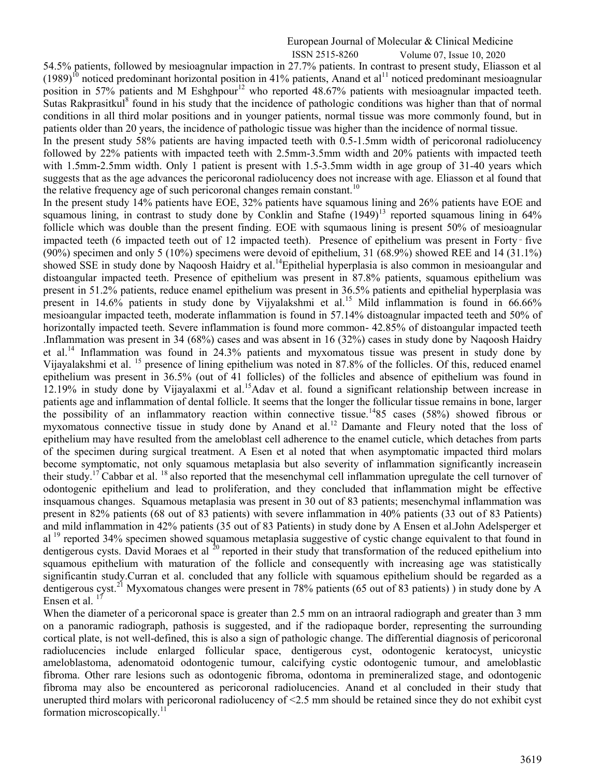#### European Journal of Molecular & Clinical Medicine ISSN 2515-8260 Volume 07, Issue 10, 2020

54.5% patients, followed by mesioagnular impaction in 27.7% patients. In contrast to present study, Eliasson et al  $(1989)^{10}$  noticed predominant horizontal position in 41% patients, Anand et al<sup>11</sup> noticed predominant mesioagnular position in 57% patients and M Eshghpour<sup>12</sup> who reported 48.67% patients with mesioagnular impacted teeth. Sutas Rakprasitkul<sup>8</sup> found in his study that the incidence of pathologic conditions was higher than that of normal conditions in all third molar positions and in younger patients, normal tissue was more commonly found, but in patients older than 20 years, the incidence of pathologic tissue was higher than the incidence of normal tissue.

In the present study 58% patients are having impacted teeth with 0.5-1.5mm width of pericoronal radiolucency followed by 22% patients with impacted teeth with 2.5mm-3.5mm width and 20% patients with impacted teeth with 1.5mm-2.5mm width. Only 1 patient is present with 1.5-3.5mm width in age group of 31-40 years which suggests that as the age advances the pericoronal radiolucency does not increase with age. Eliasson et al found that the relative frequency age of such pericoronal changes remain constant.<sup>10</sup>

In the present study 14% patients have EOE, 32% patients have squamous lining and 26% patients have EOE and squamous lining, in contrast to study done by Conklin and Stafne  $(1949)^{13}$  reported squamous lining in 64% follicle which was double than the present finding. EOE with squmaous lining is present 50% of mesioagnular impacted teeth (6 impacted teeth out of 12 impacted teeth). Presence of epithelium was present in Forty‑ five (90%) specimen and only 5 (10%) specimens were devoid of epithelium, 31 (68.9%) showed REE and 14 (31.1%) showed SSE in study done by Naqoosh Haidry et al.<sup>14</sup>Epithelial hyperplasia is also common in mesioangular and distoangular impacted teeth. Presence of epithelium was present in 87.8% patients, squamous epithelium was present in 51.2% patients, reduce enamel epithelium was present in 36.5% patients and epithelial hyperplasia was present in 14.6% patients in study done by Vijyalakshmi et al.<sup>15</sup> Mild inflammation is found in 66.66% mesioangular impacted teeth, moderate inflammation is found in 57.14% distoagnular impacted teeth and 50% of horizontally impacted teeth. Severe inflammation is found more common-42.85% of distoangular impacted teeth .Inflammation was present in 34 (68%) cases and was absent in 16 (32%) cases in study done by Naqoosh Haidry et al.<sup>14</sup> Inflammation was found in 24.3% patients and myxomatous tissue was present in study done by Vijayalakshmi et al. <sup>15</sup> presence of lining epithelium was noted in 87.8% of the follicles. Of this, reduced enamel epithelium was present in 36.5% (out of 41 follicles) of the follicles and absence of epithelium was found in 12.19% in study done by Vijayalaxmi et al.<sup>15</sup>Adav et al. found a significant relationship between increase in patients age and inflammation of dental follicle. It seems that the longer the follicular tissue remains in bone, larger the possibility of an inflammatory reaction within connective tissue.<sup>14</sup>85 cases (58%) showed fibrous or myxomatous connective tissue in study done by Anand et al.<sup>12</sup> Damante and Fleury noted that the loss of epithelium may have resulted from the ameloblast cell adherence to the enamel cuticle, which detaches from parts of the specimen during surgical treatment. A Esen et al noted that when asymptomatic impacted third molars become symptomatic, not only squamous metaplasia but also severity of inflammation significantly increasein their study.<sup>17</sup> Cabbar et al. <sup>18</sup> also reported that the mesenchymal cell inflammation upregulate the cell turnover of odontogenic epithelium and lead to proliferation, and they concluded that inflammation might be effective insquamous changes. Squamous metaplasia was present in 30 out of 83 patients; mesenchymal inflammation was present in 82% patients (68 out of 83 patients) with severe inflammation in 40% patients (33 out of 83 Patients) and mild inflammation in 42% patients (35 out of 83 Patients) in study done by A Ensen et al.John Adelsperger et al <sup>19</sup> reported 34% specimen showed squamous metaplasia suggestive of cystic change equivalent to that found in dentigerous cysts. David Moraes et al  $^{20}$  reported in their study that transformation of the reduced epithelium into squamous epithelium with maturation of the follicle and consequently with increasing age was statistically significantin study.Curran et al. concluded that any follicle with squamous epithelium should be regarded as a dentigerous cyst.<sup>21</sup> Myxomatous changes were present in 78% patients (65 out of 83 patients)) in study done by A Ensen et al.  $17$ 

When the diameter of a pericoronal space is greater than 2.5 mm on an intraoral radiograph and greater than 3 mm on a panoramic radiograph, pathosis is suggested, and if the radiopaque border, representing the surrounding cortical plate, is not well-defined, this is also a sign of pathologic change. The differential diagnosis of pericoronal radiolucencies include enlarged follicular space, dentigerous cyst, odontogenic keratocyst, unicystic ameloblastoma, adenomatoid odontogenic tumour, calcifying cystic odontogenic tumour, and ameloblastic fibroma. Other rare lesions such as odontogenic fibroma, odontoma in premineralized stage, and odontogenic fibroma may also be encountered as pericoronal radiolucencies. Anand et al concluded in their study that unerupted third molars with pericoronal radiolucency of <2.5 mm should be retained since they do not exhibit cyst formation microscopically.<sup>11</sup>